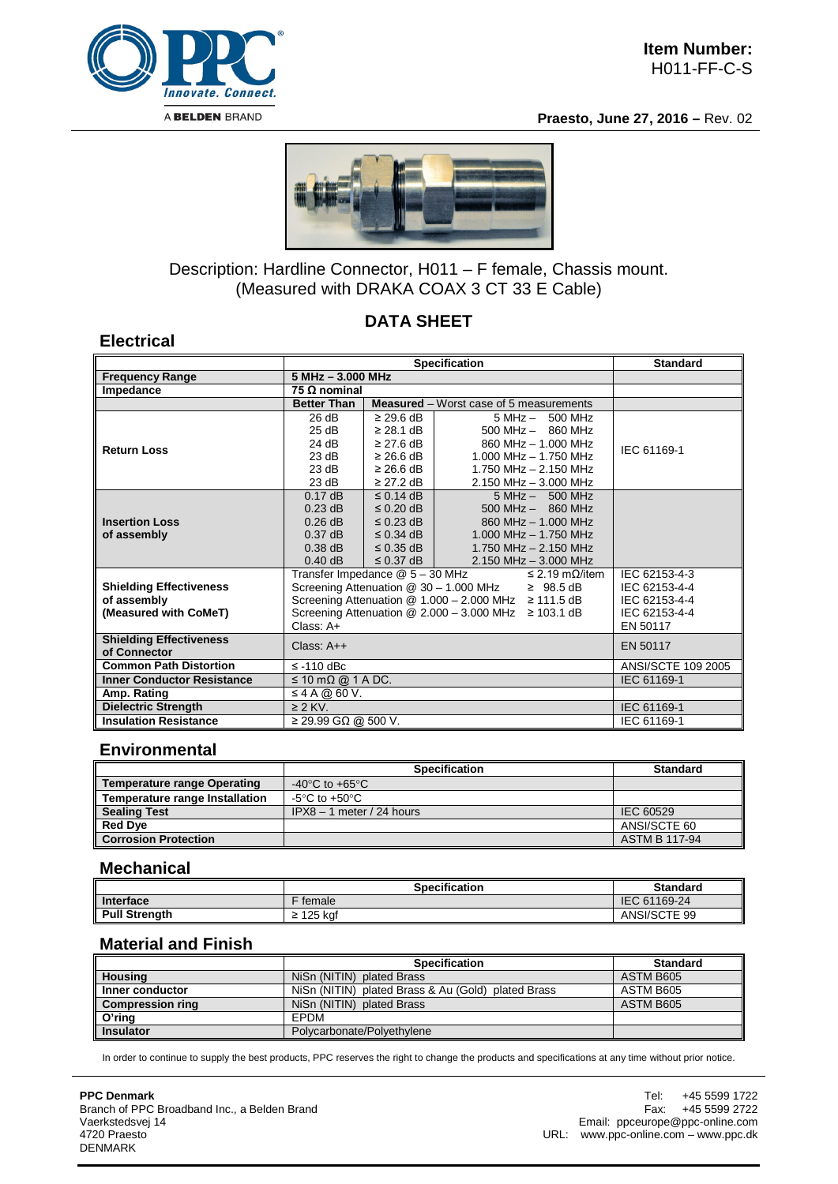

**Praesto, June 27, 2016 –** Rev. 02



# Description: Hardline Connector, H011 – F female, Chassis mount. (Measured with DRAKA COAX 3 CT 33 E Cable)

## **DATA SHEET**

### **Electrical**

|                                                |                                                             | <b>Standard</b>                  |                                                          |               |  |  |
|------------------------------------------------|-------------------------------------------------------------|----------------------------------|----------------------------------------------------------|---------------|--|--|
| <b>Frequency Range</b>                         | 5 MHz - 3.000 MHz                                           |                                  |                                                          |               |  |  |
| Impedance                                      | 75 $\Omega$ nominal                                         |                                  |                                                          |               |  |  |
|                                                | <b>Better Than</b>                                          |                                  | <b>Measured</b> – Worst case of 5 measurements           |               |  |  |
| <b>Return Loss</b>                             | 26 dB<br>25 dB                                              | $\geq$ 29.6 dB<br>$\geq$ 28.1 dB | $5 MHz - 500 MHz$<br>$500$ MHz $-$ 860 MHz               |               |  |  |
|                                                | 24 dB                                                       | $\geq$ 27.6 dB                   | 860 MHz - 1.000 MHz                                      | IEC 61169-1   |  |  |
|                                                | 23 dB                                                       | $\geq$ 26.6 dB                   | $1.000$ MHz $- 1.750$ MHz                                |               |  |  |
|                                                | 23 dB                                                       | $\geq$ 26.6 dB                   | 1.750 MHz - 2.150 MHz                                    |               |  |  |
|                                                | 23 dB                                                       | $\geq$ 27.2 dB                   | $2.150$ MHz $- 3.000$ MHz                                |               |  |  |
|                                                | $0.17$ dB                                                   | $\leq$ 0.14 dB                   | $5 MHz - 500 MHz$                                        |               |  |  |
| <b>Insertion Loss</b>                          | $0.23$ dB                                                   | $\leq$ 0.20 dB                   | $500$ MHz $-$ 860 MHz                                    |               |  |  |
|                                                | $0.26$ dB<br>$0.37$ dB                                      | $\leq$ 0.23 dB<br>$\leq$ 0.34 dB | 860 MHz - 1.000 MHz<br>$1.000$ MHz $- 1.750$ MHz         |               |  |  |
| of assembly                                    | $0.38$ dB                                                   | $\leq$ 0.35 dB                   | 1.750 MHz $- 2.150$ MHz                                  |               |  |  |
|                                                | $0.40$ dB                                                   | $\leq$ 0.37 dB                   | $2.150$ MHz $-$ 3.000 MHz                                |               |  |  |
|                                                | Transfer Impedance @ 5 - 30 MHz                             |                                  | $\leq$ 2.19 m $\Omega$ /item                             | IEC 62153-4-3 |  |  |
| <b>Shielding Effectiveness</b>                 |                                                             |                                  | Screening Attenuation @ 30 - 1.000 MHz<br>$\geq$ 98.5 dB | IEC 62153-4-4 |  |  |
| of assembly                                    | Screening Attenuation @ 1.000 - 2.000 MHz ≥ 111.5 dB        | IEC 62153-4-4                    |                                                          |               |  |  |
| (Measured with CoMeT)                          | Screening Attenuation $@$ 2.000 - 3.000 MHz $\geq$ 103.1 dB | IEC 62153-4-4                    |                                                          |               |  |  |
|                                                | $Class: A+$                                                 | EN 50117                         |                                                          |               |  |  |
| <b>Shielding Effectiveness</b><br>of Connector | Class: $A++$                                                | EN 50117                         |                                                          |               |  |  |
| <b>Common Path Distortion</b>                  | $\le$ -110 dBc                                              | ANSI/SCTE 109 2005               |                                                          |               |  |  |
| <b>Inner Conductor Resistance</b>              | $\leq$ 10 m $\Omega$ @ 1 A DC.                              | IEC 61169-1                      |                                                          |               |  |  |
| Amp. Rating                                    | $\leq$ 4 A @ 60 V.                                          |                                  |                                                          |               |  |  |
| <b>Dielectric Strength</b>                     | $\geq$ 2 KV.                                                | IEC 61169-1                      |                                                          |               |  |  |
| <b>Insulation Resistance</b>                   | $≥$ 29.99 GΩ @ 500 V.                                       |                                  | IEC 61169-1                                              |               |  |  |

## **Environmental**

|                                       | <b>Specification</b>                 | <b>Standard</b>      |  |  |
|---------------------------------------|--------------------------------------|----------------------|--|--|
| <b>Temperature range Operating</b>    | -40 $^{\circ}$ C to +65 $^{\circ}$ C |                      |  |  |
| <b>Temperature range Installation</b> | -5°C to +50°C.                       |                      |  |  |
| <b>Sealing Test</b>                   | $IPX8 - 1$ meter / 24 hours          | IEC 60529            |  |  |
| <b>Red Dve</b>                        |                                      | ANSI/SCTE 60         |  |  |
| <b>Corrosion Protection</b>           |                                      | <b>ASTM B 117-94</b> |  |  |

#### **Mechanical**

|                      | Specification  | <b>Standard</b> |
|----------------------|----------------|-----------------|
| <b>Interface</b>     | female         | IEC 61169-24    |
| <b>Pull Strength</b> | : 125 kaf<br>- | ANSI/SCTE 99    |

#### **Material and Finish**

|                         | <b>Specification</b>                               | <b>Standard</b> |  |  |
|-------------------------|----------------------------------------------------|-----------------|--|--|
| <b>Housing</b>          | NiSn (NITIN) plated Brass                          | ASTM B605       |  |  |
| Inner conductor         | NiSn (NITIN) plated Brass & Au (Gold) plated Brass | ASTM B605       |  |  |
| <b>Compression ring</b> | NiSn (NITIN) plated Brass                          | ASTM B605       |  |  |
| O'ring                  | <b>FPDM</b>                                        |                 |  |  |
| <b>Insulator</b>        | Polycarbonate/Polyethylene                         |                 |  |  |

In order to continue to supply the best products, PPC reserves the right to change the products and specifications at any time without prior notice.

**PPC Denmark** Branch of PPC Broadband Inc., a Belden Brand Vaerkstedsvej 14 4720 Praesto DENMARK